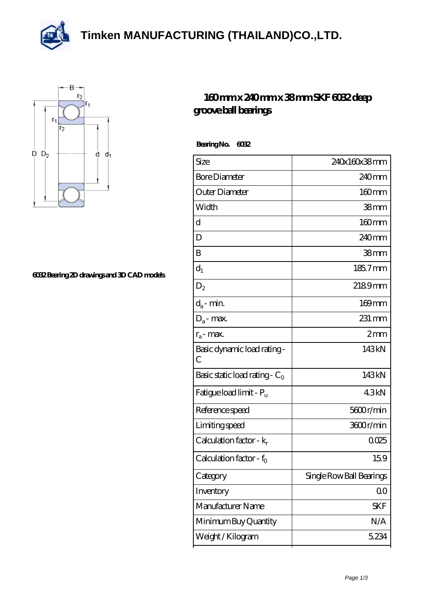**[Timken MANUFACTURING \(THAILAND\)CO.,LTD.](https://m.thereclaimer.net)**





## **[6032 Bearing 2D drawings and 3D CAD models](https://m.thereclaimer.net/pic-65136270.html)**

## **[160 mm x 240 mm x 38 mm SKF 6032 deep](https://m.thereclaimer.net/skf-6032-bearing/) [groove ball bearings](https://m.thereclaimer.net/skf-6032-bearing/)**

 **Bearing No. 6032**

| Size                                | 240x160x38mm             |
|-------------------------------------|--------------------------|
| <b>Bore Diameter</b>                | 240mm                    |
| Outer Diameter                      | 160mm                    |
| Width                               | 38mm                     |
| d                                   | $160$ mm                 |
| D                                   | 240 <sub>mm</sub>        |
| B                                   | 38mm                     |
| $d_1$                               | 185.7mm                  |
| $D_2$                               | 2189mm                   |
| $d_a$ - min.                        | 169mm                    |
| $D_a$ - max.                        | $231 \,\mathrm{mm}$      |
| $r_a$ - max.                        | 2mm                      |
| Basic dynamic load rating-<br>C     | 143kN                    |
| Basic static load rating - $C_0$    | 143kN                    |
| Fatigue load limit - Pu             | 43kN                     |
| Reference speed                     | 5600r/min                |
| Limiting speed                      | 3600r/min                |
| Calculation factor - $k_r$          | 0025                     |
| Calculation factor - f <sub>o</sub> | 159                      |
| Category                            | Single Row Ball Bearings |
| Inventory                           | 00                       |
| Manufacturer Name                   | <b>SKF</b>               |
| Minimum Buy Quantity                | N/A                      |
| Weight /Kilogram                    | 5234                     |
|                                     |                          |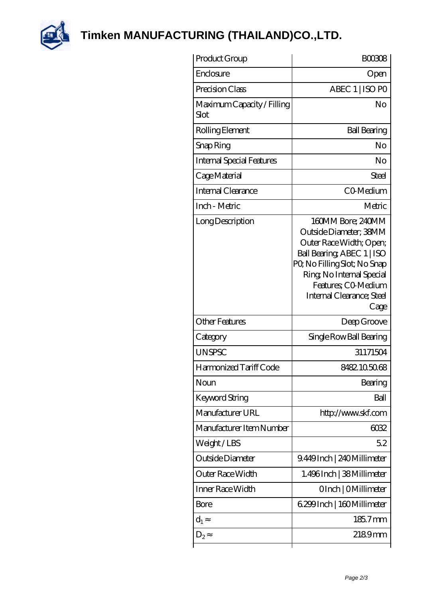

**[Timken MANUFACTURING \(THAILAND\)CO.,LTD.](https://m.thereclaimer.net)**

| Product Group                      | <b>BOO308</b>                                                                                                                                                                                                                |
|------------------------------------|------------------------------------------------------------------------------------------------------------------------------------------------------------------------------------------------------------------------------|
| Enclosure                          | Open                                                                                                                                                                                                                         |
| Precision Class                    | ABEC 1   ISO PO                                                                                                                                                                                                              |
| Maximum Capacity / Filling<br>Slot | No                                                                                                                                                                                                                           |
| Rolling Element                    | <b>Ball Bearing</b>                                                                                                                                                                                                          |
| Snap Ring                          | No                                                                                                                                                                                                                           |
| Internal Special Features          | No                                                                                                                                                                                                                           |
| Cage Material                      | Steel                                                                                                                                                                                                                        |
| Internal Clearance                 | CO-Medium                                                                                                                                                                                                                    |
| Inch - Metric                      | Metric                                                                                                                                                                                                                       |
| Long Description                   | 160MM Bore; 240MM<br>Outside Diameter: 38MM<br>Outer Race Width; Open;<br>Ball Bearing, ABEC 1   ISO<br>PQ No Filling Slot; No Snap<br>Ring, No Internal Special<br>Features; CO-Medium<br>Internal Clearance; Steel<br>Cage |
| <b>Other Features</b>              | Deep Groove                                                                                                                                                                                                                  |
| Category                           | Single Row Ball Bearing                                                                                                                                                                                                      |
| <b>UNSPSC</b>                      | 31171504                                                                                                                                                                                                                     |
| Harmonized Tariff Code             | 8482.1050.68                                                                                                                                                                                                                 |
| Noun                               | Bearing                                                                                                                                                                                                                      |
| <b>Keyword String</b>              | Ball                                                                                                                                                                                                                         |
| Manufacturer URL                   | http://www.skf.com                                                                                                                                                                                                           |
| Manufacturer Item Number           | 6032                                                                                                                                                                                                                         |
| Weight/LBS                         | 52                                                                                                                                                                                                                           |
| Outside Diameter                   | 9.449Inch   240Millimeter                                                                                                                                                                                                    |
| Outer Race Width                   | 1.496Inch   38Millimeter                                                                                                                                                                                                     |
| Inner Race Width                   | OInch   OMillimeter                                                                                                                                                                                                          |
| Bore                               | 6.299 Inch   160 Millimeter                                                                                                                                                                                                  |
| $d_1$                              | 185.7mm                                                                                                                                                                                                                      |
| $D_2$                              | 2189mm                                                                                                                                                                                                                       |
|                                    |                                                                                                                                                                                                                              |